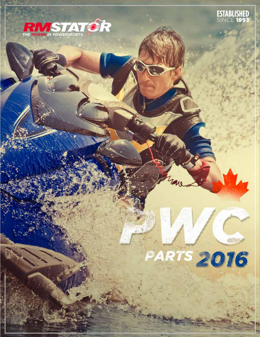



anna.

mm.

PARTS 2016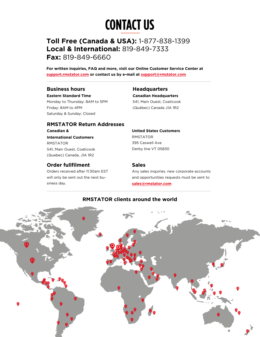# **CONTACT US**

# **Toll Free (Canada & USA):** 1-877-838-1399 **Local & International:** 819-849-7333 **Fax:** 819-849-6660

**For written inquiries, FAQ and more, visit our Online Customer Service Center at support.rmstator.com or contact us by e-mail at support@rmstator.com**

# **Business hours**

**Eastern Standard Time**

Monday to Thursday: 8AM to 5PM Friday: 8AM to 4PM Saturday & Sunday: Closed

# **Headquarters Canadian Headquarters** 541, Main Ouest, Coaticook (Québec) Canada J1A 1R2

# **RMSTATOR Return Addresses**

**Canadian & International Customers** RMSTATOR 541, Main Ouest, Coaticook (Quebec) Canada, J1A 1R2

# **Order fullfilment Sales**

Orders received after 11:30am EST will only be sent out the next business day.

# **United States Customers** RMSTATOR

395 Caswell Ave Derby line VT 05830

Any sales inquiries. new corporate accounts and opportunities requests must be sent to **sales@rmstator.com**



# **RMSTATOR clients around the world**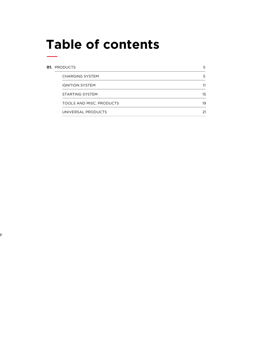# **Table of contents**

r.

| <b>01.</b> products      | 5  |
|--------------------------|----|
| <b>CHARGING SYSTEM</b>   | 5  |
| <b>IGNITION SYSTEM</b>   | 11 |
| STARTING SYSTEM          | 15 |
| TOOLS AND MISC. PRODUCTS | 19 |
| UNIVERSAL PRODUCTS       | 21 |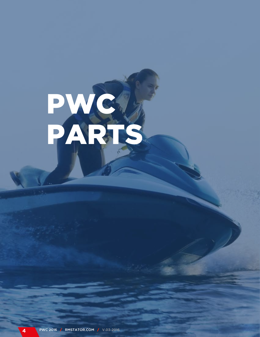# PWC PARTS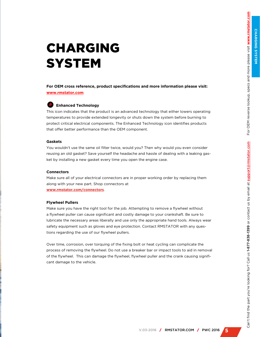For OEM reverse lookup, specs and more please visit **www.rmstator.com** 

Can't find the part you're looking for? Call us 1-877-838-1399 or contact us by email at support@rmstator.com For OEM reverse lookup, specs and more please visit **www.rmstator.com**

Can't find the part you're looking for? Call us 1-877-838-1399 or contact us by email at support@rmstator.com

# CHARGING **SYSTEM**

**For OEM cross reference, product specifications and more information please visit: www.rmstator.com**

### **Enhanced Technology**

This icon indicates that the product is an advanced technology that either lowers operating temperatures to provide extended longevity or shuts down the system before burning to protect critical electrical components. The Enhanced Technology icon identifies products that offer better performance than the OEM component.

#### **Gaskets**

You wouldn't use the same oil filter twice, would you? Then why would you even consider reusing an old gasket? Save yourself the headache and hassle of dealing with a leaking gasket by installing a new gasket every time you open the engine case.

#### **Connectors**

Make sure all of your electrical connectors are in proper working order by replacing them along with your new part. Shop connectors at **www.rmstator.com/connectors**.

#### **Flywheel Pullers**

Make sure you have the right tool for the job. Attempting to remove a flywheel without a flywheel puller can cause significant and costly damage to your crankshaft. Be sure to lubricate the necessary areas liberally and use only the appropriate hand tools. Always wear safety equipment such as gloves and eye protection. Contact RMSTATOR with any questions regarding the use of our flywheel pullers.

Over time, corrosion, over torquing of the fixing bolt or heat cycling can complicate the process of removing the flywheel. Do not use a breaker bar or impact tools to aid in removal of the flywheel. This can damage the flywheel, flywheel puller and the crank causing significant damage to the vehicle.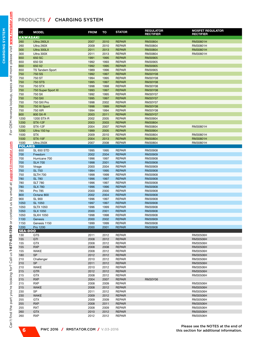| CC                     | <b>MODEL</b>              | <b>FROM</b>  | TO           | <b>STATOR</b>                  | <b>REGULATOR</b><br><b>RECTIFIER</b> | <b>MOSFET REGULATOR</b> |
|------------------------|---------------------------|--------------|--------------|--------------------------------|--------------------------------------|-------------------------|
| <b>KAWASAKI</b>        |                           |              |              |                                |                                      | <b>RECTIFIER</b>        |
| 260                    | Ultra 260LX               | 2007         | 2010         | <b>REPAIR</b>                  | RM30804                              | RM30801H                |
| 260                    | Ultra 260X                | 2009         | 2010         | <b>REPAIR</b>                  | RM30804                              | RM30801H                |
| 300                    | Ultra 300LX               | 2011         | 2013         | <b>REPAIR</b>                  | RM30804                              | RM30801H                |
| 300                    | Ultra 300X                | 2011         | 2013         | <b>REPAIR</b>                  | RM30804                              | RM30801H                |
| 650                    | 650 SC                    | 1991         | 1995         | <b>REPAIR</b>                  | RM30905                              |                         |
| 650                    | 650 SX                    | 1992         | 1993         | <b>REPAIR</b>                  | RM30905                              |                         |
| 650                    | 650 X2                    | 1992         | 1995         | <b>REPAIR</b>                  | RM30905                              |                         |
| 650                    | <b>TS Tandem Sport</b>    | 1989         | 1996         | <b>REPAIR</b>                  | RM30905                              |                         |
| 750                    | <b>750 SS</b>             | 1992         | 1997         | <b>REPAIR</b>                  | <b>RM30Y08</b>                       |                         |
| 750                    | 750 ST                    | 1994         | 1995         | <b>REPAIR</b>                  | <b>RM30Y08</b>                       |                         |
| 750<br>750             | <b>750 STS</b><br>750 STX | 1995<br>1998 | 1997<br>1998 | <b>REPAIR</b><br><b>REPAIR</b> | <b>RM30Y08</b><br>RM30Y08            |                         |
| 750                    | 750 Super Sport XI        | 1993         | 1997         | <b>REPAIR</b>                  | <b>RM30Y08</b>                       |                         |
| 750                    | 750 SX                    | 1992         | 1995         | <b>REPAIR</b>                  | RM30Y07                              |                         |
| 750                    | <b>750 SXI</b>            | 1995         | 1997         | <b>REPAIR</b>                  | <b>RM30Y07</b>                       |                         |
| 750                    | 750 SXI Pro               | 1998         | 2002         | <b>REPAIR</b>                  | <b>RM30Y07</b>                       |                         |
| 750                    | 750 XI Sport              | 1998         | 1999         | <b>REPAIR</b>                  | <b>RM30Y08</b>                       |                         |
| 750                    | 750 XIR                   | 1994         | 1994         | <b>REPAIR</b>                  | <b>RM30Y08</b>                       |                         |
| 800                    | 800 SX-R                  | 2003         | 2011         | <b>REPAIR</b>                  | <b>RM30Y07</b>                       |                         |
| 1200                   | 1200 STX-R                | 2002         | 2005         | <b>REPAIR</b>                  | RM30904                              |                         |
| 1200                   | <b>STX-12F</b>            | 2003         | 2003         | <b>REPAIR</b>                  | RM30804                              |                         |
| 1200                   | STX-12F                   | 2004         | 2007         | <b>REPAIR</b>                  | RM30804                              | RM30801H                |
| 1200                   | Ultra 150 hp              | 1999         | 2005         | <b>REPAIR</b>                  | RM30904                              |                         |
| 1500                   | <b>STX</b>                | 2009         | 2010         | <b>REPAIR</b>                  | RM30804                              | RM30801H                |
| 1500                   | <b>STX-15F</b>            | 2004         | 2013         | <b>REPAIR</b>                  | RM30804                              | RM30801H                |
| 1500<br><b>POLARIS</b> | Ultra 250X                | 2007         | 2008         | <b>REPAIR</b>                  | RM30804                              | RM30801H                |
| 650                    | <b>SL 650 STD</b>         | 1995         | 1995         | <b>REPAIR</b>                  | RM30908                              |                         |
| 700                    | Freedom                   | 2002         | 2004         | <b>REPAIR</b>                  | RM30909                              |                         |
| 700                    | Hurricane 700             | 1996         | 1997         | <b>REPAIR</b>                  | RM30908                              |                         |
| 700                    | <b>SLH 700</b>            | 1998         | 2001         | <b>REPAIR</b>                  | RM30908                              |                         |
| 700                    | Virage                    | 2000         | 2004         | <b>REPAIR</b>                  | RM30909                              |                         |
| 750                    | <b>SL 750</b>             | 1994         | 1995         | <b>REPAIR</b>                  | RM30908                              |                         |
| 750                    | <b>SLTH 700</b>           | 1998         | 1999         | <b>REPAIR</b>                  | RM30908                              |                         |
| 780                    | <b>SL 780</b>             | 1996         | 1997         | <b>REPAIR</b>                  | RM30908                              |                         |
| 780                    | <b>SLT 780</b>            | 1996         | 1997         | <b>REPAIR</b>                  | RM30908                              |                         |
| 780                    | <b>SLX 780</b>            | 1996         | 1996         | <b>REPAIR</b>                  | RM30908                              |                         |
| 785                    | Pro 785<br>Octane 800     | 2000<br>2002 | 2000<br>2004 | <b>REPAIR</b><br><b>REPAIR</b> | RM30908                              |                         |
| 800<br>900             | <b>SL 900</b>             | 1996         | 1997         | <b>REPAIR</b>                  | RM30908<br>RM30908                   |                         |
| 1050                   | <b>SL 1050</b>            | 1997         | 1997         | <b>REPAIR</b>                  | RM30908                              |                         |
| 1050                   | <b>SLTX 1050</b>          | 1996         | 1999         | <b>REPAIR</b>                  | RM30908                              |                         |
| 1050                   | <b>SLX 1050</b>           | 2000         | 2001         | <b>REPAIR</b>                  | RM30908                              |                         |
| 1050                   | <b>SLXH 1050</b>          | 1998         | 1998         | <b>REPAIR</b>                  | RM30908                              |                         |
| 1100                   | Genesis                   | 2000         | 2002         | <b>REPAIR</b>                  | RM30909                              |                         |
| 1150                   | Genesis 1150              | 1999         | 1999         | <b>REPAIR</b>                  | RM30908                              |                         |
| 1200                   | Pro 1200                  | 2000         | 2001         | <b>REPAIR</b>                  | RM30908                              |                         |
| <b>SEA-DOO</b>         |                           |              |              |                                |                                      |                         |
| 130                    | <b>GTS</b>                | 2011         | 2012         | <b>REPAIR</b>                  |                                      | RM30506H                |
| 155                    | <b>GTI</b><br><b>GTX</b>  | 2008<br>2008 | 2012<br>2012 | <b>REPAIR</b><br><b>REPAIR</b> |                                      | RM30506H<br>RM30506H    |
| 155<br>155             | <b>RXP</b>                | 2008         | 2008         | <b>REPAIR</b>                  |                                      | RM30506H                |
| 155                    | <b>WAKE</b>               | 2008         | 2012         | <b>REPAIR</b>                  |                                      | RM30506H                |
| 180                    | <b>SP</b>                 | 2012         | 2012         | <b>REPAIR</b>                  |                                      | RM30506H                |
| 210                    | Challenger                | 2010         | 2012         | <b>REPAIR</b>                  |                                      | RM30506H                |
| 210                    | <b>SP</b>                 | 2011         | 2012         | <b>REPAIR</b>                  |                                      | RM30506H                |
| 210                    | <b>WAKE</b>               | 2010         | 2012         | <b>REPAIR</b>                  |                                      | RM30506H                |
| 215                    | <b>GTR</b>                | 2012         | 2012         | <b>REPAIR</b>                  |                                      | RM30506H                |
| 215                    | GTX                       | 2008         | 2012         | <b>REPAIR</b>                  |                                      | RM30506H                |
| 215                    | <b>RXP</b>                | 2004         | 2007         | <b>REPAIR</b>                  | RM30Y06                              |                         |
| 215                    | <b>RXP</b>                | 2008         | 2009         | <b>REPAIR</b>                  |                                      | RM30506H                |
| 215                    | <b>WAKE</b>               | 2008         | 2012         | <b>REPAIR</b>                  |                                      | RM30506H                |
| 230                    | SP                        | 2011         | 2012         | <b>REPAIR</b>                  |                                      | RM30506H                |
| 230                    | <b>WAKE</b>               | 2009         | 2012         | <b>REPAIR</b>                  |                                      | RM30506H                |
| 255<br>255             | GTX<br><b>RXP</b>         | 2009<br>2008 | 2009<br>2011 | <b>REPAIR</b><br><b>REPAIR</b> |                                      | RM30506H<br>RM30506H    |
| 255                    | <b>RXT</b>                | 2008         | 2009         | <b>REPAIR</b>                  |                                      | RM30506H                |
| 260                    | <b>GTX</b>                | 2010         | 2012         | <b>REPAIR</b>                  |                                      | RM30506H                |
|                        |                           |              |              |                                |                                      |                         |

RXP 2012 2012 REPAIR RM30506H

Please see the NOTES at the end of this section for additional information.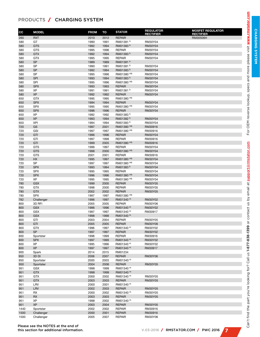| <b>CC</b>  | <b>MODEL</b>             | <b>FROM</b>  | TO           | <b>STATOR</b>                          | <b>REGULATOR</b><br><b>RECTIFIER</b> | <b>MOSFET REGULATOR</b><br><b>RECTIFIER</b> |
|------------|--------------------------|--------------|--------------|----------------------------------------|--------------------------------------|---------------------------------------------|
| 260        | <b>RXT</b>               | 2010         | 2012         | <b>REPAIR</b>                          |                                      | RM30506H                                    |
| 580        | GT                       | 1990         | 1991         | RM01381 <sup>b</sup>                   | RM30Y04                              |                                             |
| 580        | <b>GTS</b>               | 1992         | 1994         | RM01383 <sup>b</sup>                   | RM30Y04                              |                                             |
| 580        | <b>GTS</b>               | 1995         | 1996         | <b>REPAIR</b>                          | RM30Y04                              |                                             |
| 580        | <b>GTX</b>               | 1992         | 1994         | RM01383 b                              | RM30Y04                              |                                             |
| 580        | <b>GTX</b>               | 1995         | 1995         | <b>REPAIR</b>                          | RM30Y04                              |                                             |
| 580<br>580 | <b>SP</b><br>SP          | 1989<br>1990 | 1989<br>1991 | RM01381 b<br>RM01381 <sup>b</sup>      | RM30Y04                              |                                             |
| 580        | <b>SP</b>                | 1992         | 1994         | RM01383 <sup>b</sup>                   | <b>RM30Y04</b>                       |                                             |
| 580        | SP                       | 1995         | 1996         | RM01380 <sup>mb</sup>                  | RM30Y04                              |                                             |
| 580        | <b>SPI</b>               | 1993         | 1994         | RM01383 <sup>b</sup>                   | RM30Y04                              |                                             |
| 580        | <b>SPI</b>               | 1995         | 1996         | RM01380 <sup>mb</sup>                  | RM30Y04                              |                                             |
| 580        | <b>SPX</b>               | 1993         | 1993         | <b>REPAIR</b>                          | <b>RM30Y04</b>                       |                                             |
| 580        | XP                       | 1991         | 1991         | RM01381 <sup>b</sup>                   | RM30Y04                              |                                             |
| 580        | <b>XP</b>                | 1992         | 1992         | <b>REPAIR</b>                          | RM30Y04                              |                                             |
| 650        | <b>GTX</b><br><b>SPX</b> | 1995         | 1995         | RM01380 <sup>mb</sup>                  | <b>RM30Y04</b>                       |                                             |
| 650<br>650 | <b>SPX</b>               | 1994<br>1995 | 1994<br>1995 | <b>REPAIR</b><br>RM01380 <sup>mb</sup> | RM30Y04                              |                                             |
| 650        | <b>SPX</b>               | 1996         | 1996         | <b>REPAIR</b>                          | RM30Y04                              |                                             |
| 650        | XP                       | 1992         | 1992         | RM01383 b                              |                                      |                                             |
| 650        | <b>XP</b>                | 1993         | 1994         | RM01382 b                              | RM30Y04                              |                                             |
| 650        | XPI                      | 1994         | 1994         | RM01383 <sup>b</sup>                   | RM30Y04                              |                                             |
| 720        | GS                       | 1997         | 2001         | RM01380 <sup>mb</sup>                  | RM30916                              |                                             |
| 720        | GSI                      | 1997         | 1997         | RM01380 mb                             | RM30916                              |                                             |
| 720        | GTI                      | 1996         | 1996         | <b>REPAIR</b>                          | RM30Y04                              |                                             |
| 720        | GTI                      | 1997         | 1998         | <b>REPAIR</b>                          | RM30916                              |                                             |
| 720<br>720 | GTI<br><b>GTS</b>        | 1999<br>1996 | 2005<br>1997 | RM01380 mb<br><b>REPAIR</b>            | RM30916<br>RM30Y04                   |                                             |
| 720        | <b>GTS</b>               | 1998         | 2000         | RM01380 <sup>mb</sup>                  | RM30Y04                              |                                             |
| 720        | <b>GTS</b>               | 2001         | 2001         | <b>REPAIR</b>                          | RM30916                              |                                             |
| 720        | HX                       | 1995         | 1997         | RM01380 <sup>mb</sup>                  | RM30Y04                              |                                             |
| 720        | SP                       | 1997         | 1997         | RM01380 <sup>mb</sup>                  | RM30Y04                              |                                             |
| 720        | <b>SPX</b>               | 1993         | 1994         | RM01383 <sup>b</sup>                   | RM30Y04                              |                                             |
| 720        | <b>SPX</b>               | 1995         | 1995         | <b>REPAIR</b>                          | RM30Y04                              |                                             |
| 720        | <b>SPX</b>               | 1996         | 1996         | RM01380 <sup>mb</sup>                  | RM30Y04                              |                                             |
| 720        | XP                       | 1995         | 1995         | RM01380 <sup>mb</sup>                  | RM30Y04                              |                                             |
| 780<br>780 | <b>GSX</b><br><b>GTX</b> | 1999<br>1998 | 2000<br>2000 | <b>REPAIR</b><br><b>REPAIR</b>         | <b>RM30Y05</b><br>RM30Y05            |                                             |
| 780        | <b>GTX</b>               | 2002         | 2002         | <b>REPAIR</b>                          | <b>RM30Y05</b>                       |                                             |
| 780        | <b>SPX</b>               | 1997         | 1997         | RM01380 <sup>mb</sup>                  |                                      |                                             |
| 782        | Challenger               | 1996         | 1997         | RM01340 <sup>m</sup>                   | <b>RM30Y02</b>                       |                                             |
| 800        | 3D RFI                   | 2005         | 2005         | <b>REPAIR</b>                          | RM30Y06                              |                                             |
| 800        | <b>GSX</b>               | 1996         | 1996         | RM01340 <sup>m</sup>                   | <b>RM30Y02</b>                       |                                             |
| 800        | <b>GSX</b>               | 1997         | 1997         | RM01340 <sup>m</sup>                   | RM30917                              |                                             |
| 800        | <b>GSX</b>               | 1998         | 1998         | RM01340 <sup>m</sup>                   |                                      |                                             |
| 800<br>800 | GTI<br><b>GTI</b>        | 2003<br>2005 | 2004<br>2005 | <b>REPAIR</b><br><b>REPAIR</b>         | RM30Y05<br>RM30Y06                   |                                             |
| 800        | <b>GTX</b>               | 1996         | 1997         | RM01340 <sup>m</sup>                   | RM30Y02                              |                                             |
| 800        | <b>SP</b>                | 1997         | 1997         | <b>REPAIR</b>                          | RM30Y02                              |                                             |
| 800        | Sportster                | 1998         | 1999         | <b>REPAIR</b>                          | RM30916                              |                                             |
| 800        | <b>SPX</b>               | 1997         | 1999         | RM01340 <sup>m</sup>                   | RM30Y02                              |                                             |
| 800        | XP                       | 1995         | 1996         | RM01340 <sup>m</sup>                   | RM30Y02                              |                                             |
| 800        | <b>XP</b>                | 1997         | 1997         | RM01340 <sup>m</sup>                   | RM30917                              |                                             |
| 900        | Spark                    | 2014         | 2015         | RM01234                                |                                      |                                             |
| 950<br>950 | 3D DI<br>Sportster       | 2006<br>2000 | 2007<br>2003 | <b>REPAIR</b><br>RM01340 <sup>m</sup>  | RM30Y06                              |                                             |
| 950        | Sportster                | 2004         | 2006         | <b>REPAIR</b>                          | RM30Y05                              |                                             |
| 951        | <b>GSX</b>               | 1998         | 1999         | RM01340 <sup>m</sup>                   |                                      |                                             |
| 951        | <b>GTX</b>               | 1998         | 1999         | RM01340 <sup>m</sup>                   |                                      |                                             |
| 951        | <b>GTX</b>               | 2000         | 2002         | RM01340 <sup>m</sup>                   | RM30Y05                              |                                             |
| 951        | <b>GTX</b>               | 2003         | 2003         | <b>REPAIR</b>                          | RM30Y05                              |                                             |
| 951        | LRV                      | 2000         | 2001         | RM01340 <sup>m</sup>                   |                                      |                                             |
| 951        | LRV                      | 2002         | 2003         | <b>REPAIR</b>                          | RM30Y05                              |                                             |
| 951        | RX                       | 2000         | 2002         | RM01340 <sup>m</sup>                   | RM30Y05                              |                                             |
| 951<br>951 | RX<br>XP                 | 2003<br>1998 | 2003<br>2002 | <b>REPAIR</b><br>RM01340 <sup>m</sup>  | RM30Y05                              |                                             |
| 951        | <b>XP</b>                | 2003         | 2004         | <b>REPAIR</b>                          | RM30Y05                              |                                             |
| 1440       | Sportster                | 2002         | 2002         | <b>REPAIR</b>                          | RM30916                              |                                             |
| 1500       | Challenger               | 2000         | 2001         | <b>REPAIR</b>                          | RM30916                              |                                             |
| 1500       | Challenger               | 2005         | 2007         | <b>REPAIR</b>                          | RM30Y06                              |                                             |

For OEM reverse lookup, specs and

more please visit **www.rmstator.com** 

Can't find the part you're looking for? Call us 1-877-838-1399 or contact us by email at support@rmstator.com For OEM reverse lookup, specs and more please visit **www.rmstator.com**

by email at support@rmstator.com

Can't find the part you're looking for? Call us 1-877-838-1399 or contact us

#### Please see the NOTES at the end of this section for additional information.

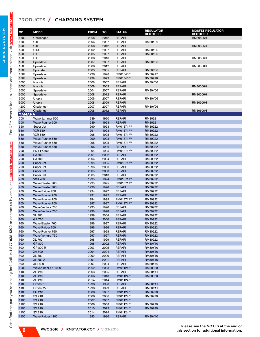| cc             | <b>MODEL</b>                     | <b>FROM</b>  | TO           | <b>STATOR</b>                         | <b>REGULATOR</b><br><b>RECTIFIER</b> | <b>MOSFET REGULATOR</b><br><b>RECTIFIER</b> |
|----------------|----------------------------------|--------------|--------------|---------------------------------------|--------------------------------------|---------------------------------------------|
| 1500           | Challenger                       | 2008         | 2012         | <b>REPAIR</b>                         |                                      | RM30506H                                    |
| 1500           | GTI                              | 2006         | 2007         | <b>REPAIR</b>                         | RM30Y06                              |                                             |
| 1500           | GTI                              | 2008         | 2012         | <b>REPAIR</b>                         |                                      | RM30506H                                    |
| 1500           | <b>GTX</b>                       | 2002         | 2007         | <b>REPAIR</b>                         | RM30Y06                              |                                             |
| 1500           | <b>RXT</b>                       | 2005         | 2007         | <b>REPAIR</b>                         | <b>RM30Y06</b>                       |                                             |
| 1500           | <b>RXT</b>                       | 2008         | 2010         | <b>REPAIR</b>                         |                                      | RM30506H                                    |
| 1500           | Speedster                        | 2007         | 2007         | <b>REPAIR</b>                         | <b>RM30Y06</b>                       |                                             |
| 1500           | Speedster                        | 2008         | 2012         | <b>REPAIR</b>                         |                                      | RM30506H                                    |
| 1500           | Sportster                        | 2003         | 2005<br>1998 | <b>REPAIR</b><br>RM01340 <sup>m</sup> | <b>RM30Y06</b><br>RM30917            |                                             |
| 1564<br>1564   | Speedster<br>Speedster           | 1998<br>1999 | 1999         | RM01340 <sup>m</sup>                  | RM30916                              |                                             |
| 3000           | Islandia                         | 2006         | 2007         | <b>REPAIR</b>                         | RM30Y06                              |                                             |
| 3000           | Islandia                         | 2009         | 2009         | <b>REPAIR</b>                         |                                      | RM30506H                                    |
| 3000           | Speedster                        | 2004         | 2007         | <b>REPAIR</b>                         | <b>RM30Y06</b>                       |                                             |
| 3000           | Speedster                        | 2008         | 2012         | <b>REPAIR</b>                         |                                      | <b>RM30506H</b>                             |
| 3000           | Utopia                           | 2006         | 2007         | <b>REPAIR</b>                         | <b>RM30Y06</b>                       |                                             |
| 3000           | Utopia                           | 2008         | 2009         | <b>REPAIR</b>                         |                                      | <b>RM30506H</b>                             |
| 4200           | Challenger                       | 2007         | 2007         | <b>REPAIR</b>                         | RM30Y06                              |                                             |
| 4200<br>YAMAHA | Challenger                       | 2008         | 2012         | <b>REPAIR</b>                         |                                      | RM30506H                                    |
| 500            | Wave Jammer 500                  | 1989         | 1990         | <b>REPAIR</b>                         | RM30921                              |                                             |
| 500            | Wave Runner 500                  | 1989         | 1993         | <b>REPAIR</b>                         | RM30921                              |                                             |
| 650            | Super Jet                        | 1990         | 1993         | RM01371 pb                            | RM30922                              |                                             |
| 650            | <b>VXR 650</b>                   | 1991         | 1993         | RM01371 pb                            | RM30922                              |                                             |
| 650            | <b>VXR 650</b>                   | 1995         | 1995         | RM01371 pb                            | RM30922                              |                                             |
| 650            | Wave Runner 650                  | 1990         | 1993         | RM01371 pb                            | RM30922                              |                                             |
| 650            | Wave Runner 650                  | 1995         | 1995         | RM01371 pb                            | RM30922                              |                                             |
| 650            | Wave Runner 650                  | 1996         | 1996         | <b>REPAIR</b>                         | RM30922                              |                                             |
| 700            | <b>FX 1 FX700</b>                | 1994         | 1995         | RM01371 pb                            | RM30922                              |                                             |
| 700            | <b>SJ700</b>                     | 2001         | 2002         | <b>REPAIR</b>                         | RM30922                              |                                             |
| 700            | SJ 700                           | 2004         | 2004         | <b>REPAIR</b>                         | RM30922                              |                                             |
| 700<br>700     | Super Jet<br>Super Jet           | 1995<br>1996 | 1995<br>2000 | RM01371 pb<br><b>REPAIR</b>           | RM30922<br>RM30922                   |                                             |
| 700            | Super Jet                        | 2003         | 2003         | <b>REPAIR</b>                         | RM30922                              |                                             |
| 700            | Super Jet                        | 2005         | 2013         | <b>REPAIR</b>                         | RM30922                              |                                             |
| 700            | <b>VXR 700</b>                   | 1993         | 1994         | RM01371 <sup>pb</sup>                 | RM30922                              |                                             |
| 700            | Wave Blaster 700                 | 1993         | 1995         | RM01371 pb                            | RM30922                              |                                             |
| 700            | Wave Blaster 700                 | 1996         | 1996         | <b>REPAIR</b>                         | RM30922                              |                                             |
| 700            | Wave Raider 700                  | 1994         | 1997         | <b>REPAIR</b>                         | RM30922                              |                                             |
| 700            | Wave Runner 700                  | 1991         | 1992         | <b>REPAIR</b>                         | RM30922                              |                                             |
| 700            | Wave Runner 700                  | 1994         | 1995         | RM01371 pb                            | RM30922                              |                                             |
| 700            | Wave Runner 700                  | 1997         | 1997         | RM01371 pb                            | RM30922                              |                                             |
| 700<br>700     | Wave Venture 700                 | 1995         | 1996         | <b>REPAIR</b>                         | RM30922                              |                                             |
| 700            | Wave Venture 700<br><b>XL700</b> | 1998<br>1999 | 1998<br>2004 | <b>REPAIR</b><br><b>REPAIR</b>        | RM30922<br>RM30922                   |                                             |
| 760            | GP 760                           | 1999         | 2000         | <b>REPAIR</b>                         | RM30922                              |                                             |
| 760            | Wave Blaster 760                 | 1996         | 1997         | <b>REPAIR</b>                         | RM30922                              |                                             |
| 760            | Wave Raider 760                  | 1996         | 1996         | <b>REPAIR</b>                         | RM30922                              |                                             |
| 760            | Wave Runner 760                  | 1997         | 1998         | <b>REPAIR</b>                         | RM30922                              |                                             |
| 760            | Wave Venture 760                 | 1997         | 1997         | <b>REPAIR</b>                         | RM30922                              |                                             |
| 760            | <b>XL 760</b>                    | 1998         | 1999         | <b>REPAIR</b>                         | RM30922                              |                                             |
| 800            | <b>GP 800</b>                    | 1998         | 2002         | <b>REPAIR</b>                         | <b>RM30Y10</b>                       |                                             |
| 800            | GP 800 R                         | 2003         | 2005         | <b>REPAIR</b>                         | RM30Y10                              |                                             |
| 800            | XA 800                           | 2004         | 2004         | <b>REPAIR</b>                         | <b>RM30Y10</b>                       |                                             |
| 800<br>800     | <b>XL 800</b><br><b>XL 800 Z</b> | 2000<br>2001 | 2000<br>2001 | <b>REPAIR</b><br><b>REPAIR</b>        | RM30Y10<br><b>RM30Y10</b>            |                                             |
| 800            | <b>XLT 800</b>                   | 2002         | 2004         | <b>REPAIR</b>                         | RM30Y10                              |                                             |
| 1000           | Waverunner FX 1000               | 2002         | 2008         | RM01124 m                             | RM30920                              |                                             |
| 1100           | AR 210                           | 2003         | 2005         | <b>REPAIR</b>                         | RM30Y11                              |                                             |
| 1100           | AR 210                           | 2006         | 2013         | RM01124 m                             | RM30920                              |                                             |
| 1100           | AR 210                           | 2014         | 2014         | RM01124 m                             |                                      |                                             |
| 1100           | Exciter 135                      | 1998         | 1998         | <b>REPAIR</b>                         | RM30Y11                              |                                             |
| 1100           | Exciter 270                      | 1998         | 1999         | <b>REPAIR</b>                         | RM30Y11                              |                                             |
| 1100           | <b>SR 210</b>                    | 2006         | 2007         | RM01124 m                             | RM30920                              |                                             |
| 1100           | SX 210                           | 2006         | 2006         | RM01124 m                             | RM30920                              |                                             |
| 1100           | SX 210                           | 2007         | 2007         | RM01124 m                             |                                      |                                             |
| 1100<br>1100   | SX 210<br>SX 210                 | 2008<br>2010 | 2008<br>2013 | RM01124 m<br>RM01124 m                | RM30920<br>RM30920                   |                                             |
| 1100           | SX 210                           | 2014         | 2014         | RM01124 m                             |                                      |                                             |
| 1100           | Wave Raider 1100                 | 1995         | 1996         | <b>REPAIR</b>                         | <b>RM30Y10</b>                       |                                             |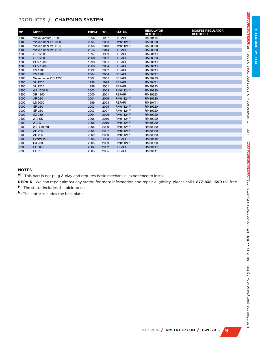| <b>CC</b> | <b>MODEL</b>        | <b>FROM</b> | <b>TO</b> | <b>STATOR</b> | <b>REGULATOR</b><br><b>RECTIFIER</b> | <b>MOSFET REGULATOR</b><br><b>RECTIFIER</b> |
|-----------|---------------------|-------------|-----------|---------------|--------------------------------------|---------------------------------------------|
| 1100      | Wave Venture 1100   | 1996        | 1997      | <b>REPAIR</b> | RM30Y10                              |                                             |
| 1100      | Waverunner FX 1000  | 2004        | 2008      | RM01124 m     | RM30920                              |                                             |
| 1100      | Waverunner VX 1100  | 2005        | 2013      | RM01124 m     | RM30920                              |                                             |
| 1100      | Waverunner VX 1100  | 2014        | 2014      | <b>REPAIR</b> | RM30920                              |                                             |
| 1200      | GP 1200             | 1997        | 1999      | <b>REPAIR</b> | RM30Y11                              |                                             |
| 1200      | GP 1200             | 2000        | 2002      | <b>REPAIR</b> | RM30923                              |                                             |
| 1200      | <b>SUV 1200</b>     | 1999        | 2001      | <b>REPAIR</b> | RM30Y11                              |                                             |
| 1200      | <b>SUV 1200</b>     | 2003        | 2004      | <b>REPAIR</b> | <b>RM30Y11</b>                       |                                             |
| 1200      | SV 1200             | 2002        | 2002      | <b>REPAIR</b> | RM30Y11                              |                                             |
| 1200      | <b>SV 1200</b>      | 2004        | 2004      | <b>REPAIR</b> | <b>RM30Y11</b>                       |                                             |
| 1200      | Waverunner XLT 1200 | 2002        | 2005      | <b>REPAIR</b> | RM30923                              |                                             |
| 1200      | <b>XL 1200</b>      | 1998        | 1998      | <b>REPAIR</b> | <b>RM30Y11</b>                       |                                             |
| 1200      | <b>XL 1200</b>      | 1999        | 2001      | <b>REPAIR</b> | RM30923                              |                                             |
| 1300      | GP 1300 R           | 2003        | 2008      | RM01124 m     | RM30920                              |                                             |
| 1800      | <b>XR 1800</b>      | 2000        | 2001      | <b>REPAIR</b> | RM30923                              |                                             |
| 2000      | AR 230              | 2004        | 2006      | RM01124 m     | RM30920                              |                                             |
| 2000      | <b>LS 2000</b>      | 1999        | 2003      | <b>REPAIR</b> | RM30Y11                              |                                             |
| 2000      | <b>SR 230</b>       | 2003        | 2005      | RM01124 m     | RM30920                              |                                             |
| 2000      | SR 230              | 2007        | 2007      | RM01124 m     | RM30920                              |                                             |
| 2000      | <b>SX 230</b>       | 2004        | 2006      | RM01124 m     | RM30920                              |                                             |
| 2100      | 212 SS              | 2008        | 2010      | RM01124 m     | RM30920                              |                                             |
| 2100      | 212X                | 2008        | 2010      | RM01124 m     | RM30920                              |                                             |
| 2100      | 232 Limited         | 2008        | 2009      | RM01124 m     | RM30920                              |                                             |
| 2100      | AR 230              | 2005        | 2007      | RM01124 m     | RM30920                              |                                             |
| 2100      | AR 230              | 2009        | 2009      | RM01124 m     | RM30920                              |                                             |
| 2100      | Exciter 220         | 1996        | 1998      | <b>REPAIR</b> | <b>RM30Y10</b>                       |                                             |
| 2100      | SX 230              | 2005        | 2009      | RM01124 m     | RM30920                              |                                             |
| 2200      | LX 2000             | 2002        | 2002      | <b>REPAIR</b> | <b>RM30Y11</b>                       |                                             |
| 2200      | LX 210              | 2003        | 2005      | <b>REPAIR</b> | RM30Y11                              |                                             |

# **NOTES**

**m** : This part is not plug & play and requires basic mechanical experience to install.

**REPAIR** : We can repair almost any stator, for more information and repair eligibility, please call **1-877-838-1399** toll free.

**P** : The stator includes the pick-up coil..

**b** : The stator includes the backplate.

٦ Ŧ

Ŧ

Ŧ T

T T. Ŧ

ı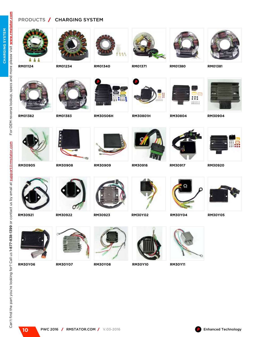













**RM01124 RM01234 RM01340 RM01371 RM01380 RM01381**























**RM30905 RM30908 RM30909 RM30916 RM30917 RM30920**























# **RM30Y06 RM30Y07 RM30Y08 RM30Y10 RM30Y11**

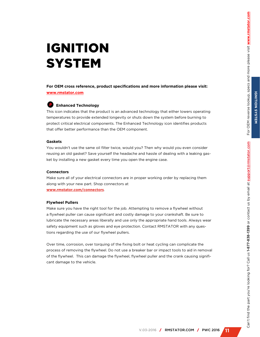For OEM reverse lookup, specs and more please visit **www.rmstator.com** 

Can't find the part you're looking for? Call us 1-877-838-1399 or contact us by email at support@rmstator.com For OEM reverse lookup, specs and more please visit **www.rmstator.com**

Can't find the part you're looking for? Call us 1-877-838-1399 or contact us by email at support@rmstator.com

# IGNITION **SYSTEM**

**For OEM cross reference, product specifications and more information please visit: www.rmstator.com**

## **Enhanced Technology**

This icon indicates that the product is an advanced technology that either lowers operating temperatures to provide extended longevity or shuts down the system before burning to protect critical electrical components. The Enhanced Technology icon identifies products that offer better performance than the OEM component.

#### **Gaskets**

You wouldn't use the same oil filter twice, would you? Then why would you even consider reusing an old gasket? Save yourself the headache and hassle of dealing with a leaking gasket by installing a new gasket every time you open the engine case.

#### **Connectors**

Make sure all of your electrical connectors are in proper working order by replacing them along with your new part. Shop connectors at **www.rmstator.com/connectors**.

#### **Flywheel Pullers**

Make sure you have the right tool for the job. Attempting to remove a flywheel without a flywheel puller can cause significant and costly damage to your crankshaft. Be sure to lubricate the necessary areas liberally and use only the appropriate hand tools. Always wear safety equipment such as gloves and eye protection. Contact RMSTATOR with any questions regarding the use of our flywheel pullers.

Over time, corrosion, over torquing of the fixing bolt or heat cycling can complicate the process of removing the flywheel. Do not use a breaker bar or impact tools to aid in removal of the flywheel. This can damage the flywheel, flywheel puller and the crank causing significant damage to the vehicle.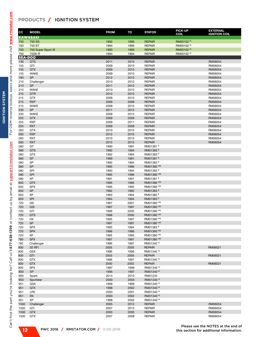# PRODUCTS / IGNITION SYSTEM

| CC             | <b>MODEL</b>                                     | <b>FROM</b>  | TO           | <b>STATOR</b>                                 | <b>PICK-UP</b><br><b>COIL</b> | <b>EXTERNAL</b><br><b>IGNITION COIL</b> |
|----------------|--------------------------------------------------|--------------|--------------|-----------------------------------------------|-------------------------------|-----------------------------------------|
|                | <b>KAWASAKI</b>                                  |              |              |                                               |                               |                                         |
| 750            | 750 SS                                           | 1992         | 1995         | <b>REPAIR</b>                                 | RM00102 m                     |                                         |
| 750            | 750 ST                                           | 1994         | 1995         | <b>REPAIR</b>                                 | RM00102 m                     |                                         |
| 750<br>750     | 750 Super Sport XI<br>750Xi R                    | 1993<br>1994 | 1995<br>1994 | <b>REPAIR</b><br><b>REPAIR</b>                | RM00102 m<br>RM00102 m        |                                         |
| <b>SEA-DOO</b> |                                                  |              |              |                                               |                               |                                         |
| 130            | <b>GTS</b>                                       | 2011         | 2015         | <b>REPAIR</b>                                 |                               | RM06054                                 |
| 155            | GTI                                              | 2009         | 2015         | <b>REPAIR</b>                                 |                               | RM06054                                 |
| 155            | <b>GTX</b>                                       | 2009         | 2015         | <b>REPAIR</b>                                 |                               | RM06054                                 |
| 155            | <b>WAKE</b>                                      | 2009         | 2015         | <b>REPAIR</b>                                 |                               | RM06054                                 |
| 180            | <b>SP</b>                                        | 2012         | 2012         | <b>REPAIR</b>                                 |                               | RM06054                                 |
| 210            | Challenger                                       | 2010         | 2012         | <b>REPAIR</b>                                 |                               | RM06054                                 |
| 210            | <b>SP</b>                                        | 2011         | 2012         | <b>REPAIR</b>                                 |                               | RM06054                                 |
| 210            | <b>WAKE</b>                                      | 2010         | 2012         | <b>REPAIR</b>                                 |                               | RM06054                                 |
| 215<br>215     | <b>GTR</b><br><b>GTX</b>                         | 2012<br>2009 | 2015<br>2015 | <b>REPAIR</b><br><b>REPAIR</b>                |                               | RM06054<br>RM06054                      |
| 215            | <b>RXP</b>                                       | 2009         | 2009         | <b>REPAIR</b>                                 |                               | RM06054                                 |
| 215            | <b>WAKE</b>                                      | 2009         | 2015         | <b>REPAIR</b>                                 |                               | RM06054                                 |
| 230            | <b>SP</b>                                        | 2011         | 2012         | <b>REPAIR</b>                                 |                               | RM06054                                 |
| 230            | <b>WAKE</b>                                      | 2009         | 2012         | <b>REPAIR</b>                                 |                               | RM06054                                 |
| 255            | <b>GTX</b>                                       | 2009         | 2009         | <b>REPAIR</b>                                 |                               | RM06054                                 |
| 255            | <b>RXP</b>                                       | 2009         | 2011         | <b>REPAIR</b>                                 |                               | RM06054                                 |
| 255            | <b>RXT</b>                                       | 2009         | 2009         | <b>REPAIR</b>                                 |                               | RM06054                                 |
| 260            | GTX                                              | 2010         | 2015         | <b>REPAIR</b>                                 |                               | RM06054                                 |
| 260            | <b>RXP</b>                                       | 2012         | 2015         | <b>REPAIR</b>                                 |                               | RM06054                                 |
| 260            | <b>RXT</b><br><b>RXT</b>                         | 2010         | 2013         | <b>REPAIR</b><br><b>REPAIR</b>                |                               | RM06054                                 |
| 260<br>580     | GT                                               | 2015<br>1990 | 2015<br>1991 | RM01381 <sup>b</sup>                          |                               | RM06054                                 |
| 580            | <b>GTS</b>                                       | 1992         | 1994         | RM01383 <sup>b</sup>                          |                               |                                         |
| 580            | <b>GTX</b>                                       | 1992         | 1994         | RM01383 b                                     |                               |                                         |
| 580            | <b>SP</b>                                        | 1989         | 1991         | RM01381 b                                     |                               |                                         |
| 580            | SP                                               | 1992         | 1994         | RM01383 b                                     |                               |                                         |
| 580            | <b>SP</b>                                        | 1995         | 1996         | RM01380 <sup>mb</sup>                         |                               |                                         |
| 580            | <b>SPI</b>                                       | 1993         | 1994         | RM01383 b                                     |                               |                                         |
| 580            | SPI                                              | 1995         | 1996         | RM01380 <sup>mb</sup>                         |                               |                                         |
| 580            | XP                                               | 1991         | 1991         | RM01381 <sup>b</sup>                          |                               |                                         |
| 650            | <b>GTX</b>                                       | 1995         | 1995         | RM01380 <sup>mb</sup>                         |                               |                                         |
| 650<br>650     | <b>SPX</b><br><b>XP</b>                          | 1995         | 1995<br>1992 | RM01380 <sup>mb</sup><br>RM01383 <sup>b</sup> |                               |                                         |
| 650            | XP                                               | 1992<br>1993 | 1994         | RM01382 b                                     |                               |                                         |
| 650            | <b>XPI</b>                                       | 1994         | 1994         | RM01383 <sup>b</sup>                          |                               |                                         |
| 720            | GS                                               | 1997         | 2001         | RM01380 <sup>mb</sup>                         |                               |                                         |
| 720            | GSI                                              | 1997         | 1997         | RM01380 <sup>mb</sup>                         |                               |                                         |
| 720            | GTI                                              | 1999         | 2005         | RM01380 <sup>mb</sup>                         |                               |                                         |
| 720            | <b>GTS</b>                                       | 1998         | 2000         | RM01380 <sup>mb</sup>                         |                               |                                         |
| 720            | HX                                               | 1995         | 1997         | RM01380 mp                                    |                               |                                         |
| 720            | $\ensuremath{\mathsf{S}}\ensuremath{\mathsf{P}}$ | 1997         | 1997         | RM01380 <sup>mb</sup>                         |                               |                                         |
| 720            | <b>SPX</b>                                       | 1993         | 1994         | RM01383 <sup>b</sup>                          |                               |                                         |
| 720            | <b>SPX</b>                                       | 1996         | 1996         | RM01380 mb                                    |                               |                                         |
| 720<br>780     | XP<br><b>SPX</b>                                 | 1995<br>1997 | 1995<br>1997 | RM01380 mb<br>RM01380 <sup>mb</sup>           |                               |                                         |
| 782            | Challenger                                       | 1996         | 1997         | RM01340 <sup>m</sup>                          |                               |                                         |
| 800            | 3D RFI                                           | 2005         | 2005         | <b>REPAIR</b>                                 |                               | RM06021                                 |
| 800            | <b>GSX</b>                                       | 1996         | 1998         | RM01340 <sup>m</sup>                          |                               |                                         |
| 800            | GTI                                              | 2003         | 2005         | <b>REPAIR</b>                                 |                               | RM06021                                 |
| 800            | <b>GTX</b>                                       | 1996         | 1997         | RM01340 <sup>m</sup>                          |                               |                                         |
| 800            | GTX                                              | 2000         | 2002         | <b>REPAIR</b>                                 |                               | RM06021                                 |
| 800            | <b>SPX</b>                                       | 1997         | 1999         | RM01340 <sup>m</sup>                          |                               |                                         |
| 800            | XP                                               | 1995         | 1997         | RM01340 <sup>m</sup>                          |                               |                                         |
| 900            | Spark                                            | 2014         | 2015         | RM01234                                       |                               |                                         |
| 950            | Sportster                                        | 2000         | 2003         | RM01340 <sup>m</sup>                          |                               |                                         |
| 951            | <b>GSX</b>                                       | 1998         | 1999<br>2002 | RM01340 <sup>m</sup>                          |                               |                                         |
| 951<br>951     | <b>GTX</b><br>LRV                                | 1998<br>2000 | 2001         | RM01340 <sup>m</sup><br>RM01340 <sup>m</sup>  |                               |                                         |
| 951            | RX                                               | 2000         | 2002         | RM01340 <sup>m</sup>                          |                               |                                         |
| 951            | XP                                               | 1998         | 2002         | RM01340 <sup>m</sup>                          |                               |                                         |
| 1500           | Challenger                                       | 2005         | 2012         | <b>REPAIR</b>                                 |                               | RM06054                                 |
| 1500           | GTI                                              | 2007         | 2013         | <b>REPAIR</b>                                 |                               | RM06054                                 |
| 1500           | <b>GTX</b>                                       | 2003         | 2005         | <b>REPAIR</b>                                 |                               | RM06054                                 |
| 1500           | <b>GTX</b>                                       | 2007         | 2008         | <b>REPAIR</b>                                 |                               | RM06054                                 |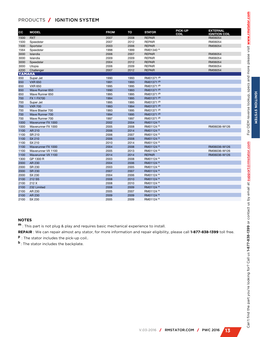# PRODUCTS / IGNITION SYSTEM

| cc     | <b>MODEL</b>       | <b>FROM</b> | TO   | <b>STATOR</b>        | <b>PICK-UP</b><br>COIL | <b>EXTERNAL</b><br><b>IGNITION COIL</b> |
|--------|--------------------|-------------|------|----------------------|------------------------|-----------------------------------------|
| 1500   | <b>RXT</b>         | 2007        | 2008 | <b>REPAIR</b>        |                        | RM06054                                 |
| 1500   | Speedster          | 2007        | 2012 | <b>REPAIR</b>        |                        | RM06054                                 |
| 1500   | Sportster          | 2003        | 2006 | <b>REPAIR</b>        |                        | RM06054                                 |
| 1564   | Speedster          | 1998        | 1999 | RM01340 <sup>m</sup> |                        |                                         |
| 3000   | Islandia           | 2006        | 2007 | <b>REPAIR</b>        |                        | RM06054                                 |
| 3000   | Islandia           | 2009        | 2009 | <b>REPAIR</b>        |                        | RM06054                                 |
| 3000   | Speedster          | 2004        | 2012 | <b>REPAIR</b>        |                        | RM06054                                 |
| 3000   | Utopia             | 2006        | 2009 | <b>REPAIR</b>        |                        | RM06054                                 |
| 4200   | Challenger         | 2007        | 2012 | <b>REPAIR</b>        |                        | RM06054                                 |
| YAMAHA |                    |             |      |                      |                        |                                         |
| 650    | Super Jet          | 1990        | 1993 | RM01371 pb           |                        |                                         |
| 650    | <b>VXR 650</b>     | 1991        | 1993 | RM01371 pb           |                        |                                         |
| 650    | <b>VXR 650</b>     | 1995        | 1995 | RM01371 pb           |                        |                                         |
| 650    | Wave Runner 650    | 1990        | 1993 | RM01371 pb           |                        |                                         |
| 650    | Wave Runner 650    | 1995        | 1995 | RM01371 pb           |                        |                                         |
| 700    | <b>FX 1 FX700</b>  | 1994        | 1995 | RM01371 pb           |                        |                                         |
| 700    | Super Jet          | 1995        | 1995 | RM01371 pb           |                        |                                         |
| 700    | <b>VXR 700</b>     | 1993        | 1994 | RM01371 pb           |                        |                                         |
| 700    | Wave Blaster 700   | 1993        | 1995 | RM01371 pb           |                        |                                         |
| 700    | Wave Runner 700    | 1994        | 1995 | RM01371 pb           |                        |                                         |
| 700    | Wave Runner 700    | 1997        | 1997 | RM01371 pb           |                        |                                         |
| 1000   | Waverunner FX 1000 | 2002        | 2004 | RM01124 <sup>m</sup> |                        |                                         |
| 1000   | Waverunner FX 1000 | 2005        | 2008 | RM01124 m            |                        | RM06036-W126                            |
| 1100   | AR 210             | 2006        | 2014 | RM01124 m            |                        |                                         |
| 1100   | SR 210             | 2006        | 2007 | RM01124 m            |                        |                                         |
| 1100   | SX 210             | 2006        | 2008 | RM01124 m            |                        |                                         |
| 1100   | SX 210             | 2010        | 2014 | RM01124 m            |                        |                                         |
| 1100   | Waverunner FX 1000 | 2004        | 2008 | RM01124 m            |                        | RM06036-W126                            |
| 1100   | Waverunner VX 1100 | 2005        | 2013 | RM01124 m            |                        | RM06036-W126                            |
| 1100   | Waverunner VX 1100 | 2014        | 2014 | <b>REPAIR</b>        |                        | RM06036-W126                            |
| 1300   | GP 1300 R          | 2003        | 2008 | RM01124 m            |                        |                                         |
| 2000   | AR 230             | 2004        | 2006 | RM01124 m            |                        |                                         |
| 2000   | SR 230             | 2003        | 2005 | RM01124 m            |                        |                                         |
| 2000   | <b>SR 230</b>      | 2007        | 2007 | RM01124 m            |                        |                                         |
| 2000   | SX 230             | 2004        | 2006 | RM01124 m            |                        |                                         |
| 2100   | 212 SS             | 2008        | 2010 | RM01124 m            |                        |                                         |
| 2100   | 212 X              | 2008        | 2010 | RM01124 m            |                        |                                         |
| 2100   | 232 Limited        | 2008        | 2009 | RM01124 m            |                        |                                         |
| 2100   | AR 230             | 2005        | 2007 | RM01124 m            |                        |                                         |
| 2100   | AR 230             | 2009        | 2009 | RM01124 m            |                        |                                         |
| 2100   | SX 230             | 2005        | 2009 | RM01124 m            |                        |                                         |

### **NOTES**

**m** : This part is not plug & play and requires basic mechanical experience to install.

**REPAIR** : We can repair almost any stator, for more information and repair eligibility, please call **1-877-838-1399** toll free.

**P** : The stator includes the pick-up coil..

**b** : The stator includes the backplate.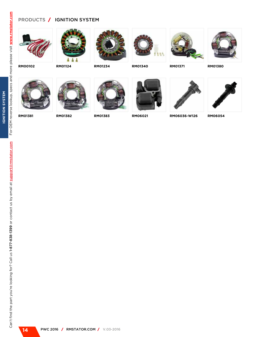# PRODUCTS / IGNITION SYSTEM













**RM00102 RM01124 RM01234 RM01340 RM01371 RM01380**















**RM01381 RM01382 RM01383 RM06021 RM06036-W126 RM06054**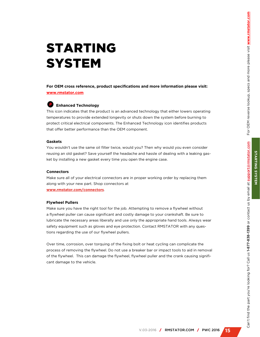# STARTING **SYSTEM**

**For OEM cross reference, product specifications and more information please visit: www.rmstator.com**

### **Enhanced Technology**

This icon indicates that the product is an advanced technology that either lowers operating temperatures to provide extended longevity or shuts down the system before burning to protect critical electrical components. The Enhanced Technology icon identifies products that offer better performance than the OEM component.

#### **Gaskets**

You wouldn't use the same oil filter twice, would you? Then why would you even consider reusing an old gasket? Save yourself the headache and hassle of dealing with a leaking gasket by installing a new gasket every time you open the engine case.

#### **Connectors**

Make sure all of your electrical connectors are in proper working order by replacing them along with your new part. Shop connectors at **www.rmstator.com/connectors**.

#### **Flywheel Pullers**

Make sure you have the right tool for the job. Attempting to remove a flywheel without a flywheel puller can cause significant and costly damage to your crankshaft. Be sure to lubricate the necessary areas liberally and use only the appropriate hand tools. Always wear safety equipment such as gloves and eye protection. Contact RMSTATOR with any questions regarding the use of our flywheel pullers.

Over time, corrosion, over torquing of the fixing bolt or heat cycling can complicate the process of removing the flywheel. Do not use a breaker bar or impact tools to aid in removal of the flywheel. This can damage the flywheel, flywheel puller and the crank causing significant damage to the vehicle.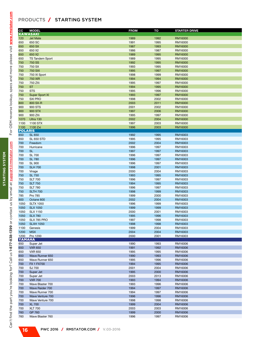# PRODUCTS / STARTING SYSTEM

| ;<br>;                             |
|------------------------------------|
|                                    |
|                                    |
|                                    |
| )<br>)<br>)<br>)                   |
|                                    |
|                                    |
|                                    |
| )<br>.                             |
|                                    |
|                                    |
|                                    |
|                                    |
|                                    |
|                                    |
|                                    |
|                                    |
|                                    |
|                                    |
| <b>ンソントラント</b>                     |
| $\frac{2}{5}$                      |
|                                    |
|                                    |
|                                    |
|                                    |
| こうりつころ りょうろう てらら しりりろし 2ここつり 一つりょう |
|                                    |
|                                    |
|                                    |
|                                    |
|                                    |
|                                    |
| こして                                |
| Ī.                                 |
|                                    |
| د<br>ا<br>ĺ<br>ı                   |
|                                    |

tor.com

| CC              | <b>MODEL</b>           | <b>FROM</b> | TO   | <b>STARTER DRIVE</b> |
|-----------------|------------------------|-------------|------|----------------------|
| <b>KAWASAKI</b> |                        |             |      |                      |
| 120             | Jet Mate               | 1989        | 1992 | RM16000              |
| 650             | 650 SC                 | 1991        | 1995 | RM16000              |
| 650             | 650 SX                 | 1987        | 1993 | RM16000              |
| 650             | 650 X2                 | 1986        | 1987 | RM16000              |
| 650             | 650 X2                 | 1989        | 1995 | RM16000              |
|                 |                        |             |      |                      |
| 650             | <b>TS Tandem Sport</b> | 1989        | 1995 | RM16000              |
| 750             | 750 SS                 | 1992        | 1995 | RM16000              |
| 750             | 750 SX                 | 1993        | 1995 | RM16000              |
| 750             | <b>750 SXI</b>         | 1995        | 1997 | RM16000              |
| 750             | 750 XI Sport           | 1998        | 1999 | RM16000              |
| 750             | 750 XIR                | 1994        | 1994 | RM16000              |
| 750             | 750 ZXi                | 1995        | 1997 | RM16000              |
| 750             | <b>ST</b>              | 1994        | 1995 | RM16000              |
| 750             | <b>STS</b>             | 1995        | 1996 | RM16000              |
| 750             | <b>Super Sport XI</b>  | 1993        | 1997 | RM16000              |
|                 |                        |             |      |                      |
| 750             | <b>SXI PRO</b>         | 1998        | 2002 | RM16000              |
| 800             | 800 SX-R               | 2003        | 2011 | RM16000              |
| 900             | 900 STS                | 2001        | 2002 | RM16000              |
| 900             | 900 STX                | 1997        | 2006 | RM16000              |
| 900             | 900 ZXi                | 1995        | 1997 | RM16000              |
| 1070            | Ultra 130              | 2002        | 2004 | RM16000              |
| 1100            | 1100 STX               | 1997        | 2003 | RM16000              |
| 1100            | 1100 Zxi               | 1996        | 2003 | RM16000              |
| <b>POLARIS</b>  |                        |             |      |                      |
| 650             | <b>SL 650</b>          | 1992        | 1995 | RM16003              |
| 650             | <b>SL 650 STD</b>      | 1995        | 1995 | RM16003              |
|                 |                        |             |      |                      |
| 700             | Freedom                | 2002        | 2004 | RM16003              |
| 700             | Hurricane              | 1996        | 1997 | RM16003              |
| 700             | <b>SL</b>              | 1997        | 1997 | RM16003              |
| 700             | <b>SL 700</b>          | 1996        | 1997 | RM16003              |
| 700             | <b>SL 780</b>          | 1996        | 1997 | RM16003              |
| 700             | <b>SL 900</b>          | 1996        | 1997 | RM16003              |
| 700             | <b>SLH 700</b>         | 1998        | 2001 | RM16003              |
| 700             | Virage                 | 2000        | 2004 | RM16003              |
| 750             | <b>SL 750</b>          | 1993        | 1995 | RM16003              |
| 750             | <b>SLT 700</b>         | 1996        | 1997 | RM16003              |
|                 |                        |             |      |                      |
| 750             | <b>SLT 750</b>         | 1994        | 1995 | RM16003              |
| 750             | <b>SLT 780</b>         | 1996        | 1997 | RM16003              |
| 750             | <b>SLTH 700</b>        | 1998        | 1999 | RM16003              |
| 785             | Pro 785                | 1999        | 2000 | RM16003              |
| 800             | Octane 800             | 2002        | 2004 | RM16003              |
| 1050            | <b>SLTX 1050</b>       | 1996        | 1999 | RM16003              |
| 1050            | <b>SLX 1050</b>        | 1999        | 1999 | RM16003              |
| 1050            | <b>SLX 1150</b>        | 2000        | 2001 | RM16003              |
| 1050            | <b>SLX 780</b>         | 1995        | 1996 | RM16003              |
| 1050            |                        | 1997        |      |                      |
|                 | SLX 785 PRO            |             | 1998 | RM16003              |
| 1050            | <b>SLXH 1050</b>       | 1998        | 1998 | RM16003              |
| 1100            | Genesis                | 1999        | 2004 | RM16003              |
| 1200            | <b>MSX</b>             | 2004        | 2004 | RM16003              |
| 1200            | Pro 1200               | 2000        | 2001 | RM16003              |
| <b>YAMAHA</b>   |                        |             |      |                      |
| 650             | Super Jet              | 1990        | 1993 | RM16006              |
| 650             | <b>VXR 650</b>         | 1991        | 1992 | RM16006              |
| 650             | <b>VXR 650</b>         | 1995        | 1995 | RM16006              |
| 650             | Wave Runner 650        | 1990        | 1993 | RM16006              |
| 650             | Wave Runner 650        | 1995        | 1996 | RM16006              |
| 700             | FX 1 FX700             | 1994        | 1995 | RM16006              |
|                 | <b>SJ 700</b>          | 2001        | 2004 | RM16006              |
| 700             |                        |             |      |                      |
| 700             | Super Jet              | 1995        | 2000 | RM16006              |
| 700             | Super Jet              | 2003        | 2013 | RM16006              |
| 700             | <b>VXR 700</b>         | 1993        | 1994 | RM16006              |
| 700             | Wave Blaster 700       | 1993        | 1996 | RM16006              |
| 700             | Wave Raider 700        | 1994        | 1997 | RM16006              |
| 700             | Wave Runner 700        | 1994        | 1997 | RM16006              |
| 700             | Wave Venture 700       | 1996        | 1996 | RM16006              |
| 700             | Wave Venture 700       | 1998        | 1998 | RM16006              |
|                 | <b>XL 700</b>          | 1999        | 2004 | RM16006              |
| 700             |                        |             |      |                      |
| 700             | <b>XLT 700</b>         | 2003        | 2003 | RM16006              |
| 760             | <b>GP 760</b>          | 1999        | 2000 | RM16006              |
| 760             | Wave Blaster 760       | 1996        | 1997 | RM16006              |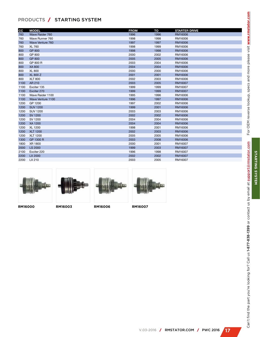# PRODUCTS / STARTING SYSTEM

| cc   | <b>MODEL</b>      | <b>FROM</b> | TO   | <b>STARTER DRIVE</b> |
|------|-------------------|-------------|------|----------------------|
| 760  | Wave Raider 760   | 1996        | 1996 | RM16006              |
| 760  | Wave Runner 760   | 1998        | 1998 | RM16006              |
| 760  | Wave Venture 760  | 1997        | 1997 | RM16006              |
| 760  | <b>XL 760</b>     | 1998        | 1999 | RM16006              |
| 800  | GP 800            | 1998        | 1998 | RM16006              |
| 800  | GP 800            | 2000        | 2002 | RM16006              |
| 800  | <b>GP 800</b>     | 2005        | 2005 | RM16006              |
| 800  | GP 800 R          | 2003        | 2004 | RM16006              |
| 800  | XA 800            | 2004        | 2004 | RM16006              |
| 800  | <b>XL 800</b>     | 2000        | 2000 | RM16006              |
| 800  | <b>XL 800 Z</b>   | 2001        | 2001 | RM16006              |
| 800  | <b>XLT 800</b>    | 2002        | 2003 | RM16006              |
| 1100 | AR 210            | 2003        | 2005 | RM16007              |
| 1100 | Exciter 135       | 1999        | 1999 | RM16007              |
| 1100 | Exciter 270       | 1999        | 1999 | RM16007              |
| 1100 | Wave Raider 1100  | 1995        | 1996 | RM16006              |
| 1100 | Wave Venture 1100 | 1996        | 1997 | RM16006              |
| 1200 | GP 1200           | 1997        | 2002 | RM16006              |
| 1200 | <b>SUV 1200</b>   | 1999        | 2001 | RM16006              |
| 1200 | <b>SUV 1200</b>   | 2003        | 2003 | RM16006              |
| 1200 | <b>SV 1200</b>    | 2002        | 2002 | RM16006              |
| 1200 | SV 1200           | 2004        | 2004 | RM16006              |
| 1200 | XA 1200           | 2004        | 2004 | RM16006              |
| 1200 | <b>XL 1200</b>    | 1998        | 2001 | RM16006              |
| 1200 | <b>XLT 1200</b>   | 2002        | 2003 | RM16006              |
| 1200 | <b>XLT 1200</b>   | 2005        | 2005 | RM16006              |
| 1300 | GP 1300 R         | 2003        | 2008 | RM16006              |
| 1800 | XR 1800           | 2000        | 2001 | RM16007              |
| 2000 | <b>LS 2000</b>    | 1999        | 2003 | RM16007              |
| 2100 | Exciter 220       | 1996        | 1998 | RM16007              |
| 2200 | LX 2000           | 2002        | 2002 | RM16007              |
| 2200 | LX 210            | 2003        | 2005 | RM16007              |
|      |                   |             |      |                      |









**RM16000 RM16003 RM16006 RM16007**

**STARTING SYSTEM**

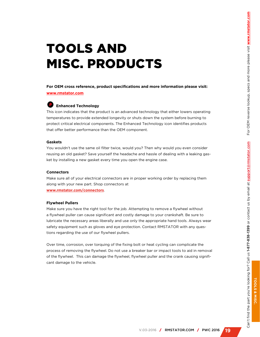**TOOLS & MISC.** 

**OOLS & MISC** 

# TOOLS AND MISC. PRODUCTS

**For OEM cross reference, product specifications and more information please visit: www.rmstator.com**

### **Enhanced Technology**

This icon indicates that the product is an advanced technology that either lowers operating temperatures to provide extended longevity or shuts down the system before burning to protect critical electrical components. The Enhanced Technology icon identifies products that offer better performance than the OEM component.

#### **Gaskets**

You wouldn't use the same oil filter twice, would you? Then why would you even consider reusing an old gasket? Save yourself the headache and hassle of dealing with a leaking gasket by installing a new gasket every time you open the engine case.

#### **Connectors**

Make sure all of your electrical connectors are in proper working order by replacing them along with your new part. Shop connectors at **www.rmstator.com/connectors**.

#### **Flywheel Pullers**

Make sure you have the right tool for the job. Attempting to remove a flywheel without a flywheel puller can cause significant and costly damage to your crankshaft. Be sure to lubricate the necessary areas liberally and use only the appropriate hand tools. Always wear safety equipment such as gloves and eye protection. Contact RMSTATOR with any questions regarding the use of our flywheel pullers.

Over time, corrosion, over torquing of the fixing bolt or heat cycling can complicate the process of removing the flywheel. Do not use a breaker bar or impact tools to aid in removal of the flywheel. This can damage the flywheel, flywheel puller and the crank causing significant damage to the vehicle.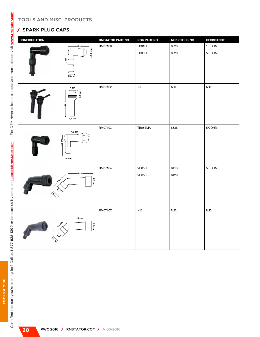# TOOLS AND MISC. PRODUCTS

# / SPARK PLUG CAPS

| <b>CONFIGURATION</b> |                                               | <b>RMSTATOR PART NO</b> | <b>NGK PART NO</b> | <b>NGK STOCK NO</b> | <b>RESISTANCE</b> |
|----------------------|-----------------------------------------------|-------------------------|--------------------|---------------------|-------------------|
|                      | -5 cm-                                        | RM07100                 | LB01EP             | 8328                | 1K OHM            |
|                      | $-2,5$ cm $-$<br>$\frac{2}{7}$ cm<br>$1,5$ cm |                         | LB05EP             | 8020                | 5K OHM            |
|                      | 4 cm<br>$-4,5$ cm-<br>12 cm<br>$1,4$ cm       | RM07102                 | N.D.               | N.D.                | N.D.              |
|                      | 4,8 cm<br>$2,5$ cm<br>6,6 cm<br>$1,4$ cm      | RM07103                 | TB05EMA            | 8636                | 5K OHM            |
| Isom                 | 5 cm·<br>$-2.5$ cm<br>3.5 cm                  | RM07104                 | VB05FP<br>VD05FP   | 8413<br>8429        | 5K OHM            |
| IBON                 | -5 cm-<br>$-2,5$ cm-<br><b>3.5 cm</b>         | RM07107                 | N.D.               | N.D.                | N.D.              |

**TOOLS & MISC.** 

TOOLS & MISC.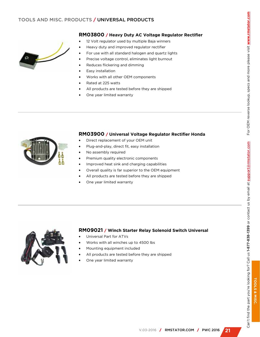# **RM03800** / **Heavy Duty AC Voltage Regulator Rectifier**

- 12 Volt regulator used by multiple Baja winners
- Heavy duty and improved regulator rectifier
- For use with all standard halogen and quartz lights
- Precise voltage control, eliminates light burnout
- Reduces flickering and dimming
- Easy installation
- Works with all other OEM components
- Rated at 225 watts
- All products are tested before they are shipped
- One year limited warranty



### **RM03900** / **Universal Voltage Regulator Rectifier Honda**

- Direct replacement of your OEM unit
- Plug-and-play, direct fit, easy installation
- No assembly required
- Premium quality electronic components
- Improved heat sink and charging capabilities
- Overall quality is far superior to the OEM equipment
- All products are tested before they are shipped
- One year limited warranty



## **RM09021** / **Winch Starter Relay Solenoid Switch Universal**

- Universal Part for ATVs
	- Works with all winches up to 4500 lbs
	- Mounting equipment included
	- All products are tested before they are shipped
	- One year limited warranty

**TOOLS & MISC.** 

**OOLS & MISC**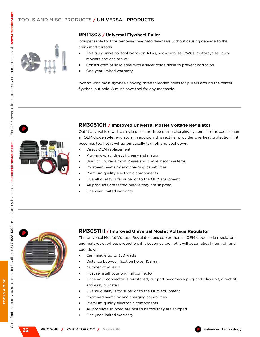# TOOLS AND MISC. PRODUCTS **/** UNIVERSAL PRODUCTS



## **RM11303** / **Universal Flywheel Puller**

Indispensable tool for removing magneto flywheels without causing damage to the crankshaft threads

- This truly universal tool works on ATVs, snowmobiles, PWCs, motorcycles, lawn mowers and chainsaws\*
- Constructed of solid steel with a sliver oxide finish to prevent corrosion
- One year limited warranty

\*Works with most flywheels having three threaded holes for pullers around the center flywheel nut hole. A must-have tool for any mechanic.

# **RM30510H** / **Improved Universal Mosfet Voltage Regulator**

Outfit any vehicle with a single phase or three phase charging system. It runs cooler than all OEM diode style regulators. In addition, this rectifier provides overheat protection; if it becomes too hot it will automatically turn off and cool down.

- Direct OEM replacement
- Plug-and-play, direct fit, easy installation.
- Used to upgrade most 2 wire and 3 wire stator systems
- Improved heat sink and charging capabilities
- Premium quality electronic components.
- Overall quality is far superior to the OEM equipment
- All products are tested before they are shipped
- One year limited warranty



# **RM30511H** / **Improved Universal Mosfet Voltage Regulator**

The Universal Mosfet Voltage Regulator runs cooler than all OEM diode style regulators and features overheat protection; if it becomes too hot it will automatically turn off and cool down.

- Can handle up to 350 watts
- Distance between fixation holes: 103 mm
- Number of wires: 7
- Must reinstall your original connector
- Once your connector is reinstalled, our part becomes a plug-and-play unit, direct fit, and easy to install
- Overall quality is far superior to the OEM equipment
- Improved heat sink and charging capabilities
- Premium quality electronic components
- All products shipped are tested before they are shipped
- One year limited warranty

**TOOLS & MISC.** 

**DOLS & MISC** 

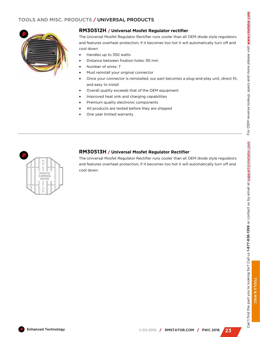

# **RM30512H** / **Universal Mosfet Regulator rectifier**

The Universal Mosfet Regulator Rectifier runs cooler than all OEM diode style regulators and features overheat protection; if it becomes too hot it will automatically turn off and cool down.

- Handles up to 350 watts
- Distance between fixation holes: 95 mm
- Number of wires: 7
- Must reinstall your original connector
- Once your connector is reinstalled, our part becomes a plug-and-play unit, direct fit, and easy to install
- Overall quality exceeds that of the OEM equipment
- Improved heat sink and charging capabilities
- Premium quality electronic components
- All products are tested before they are shipped
- One year limited warranty



# **RM30513H** / **Universal Mosfet Regulator Rectifier**

The Universal Mosfet Regulator Rectifier runs cooler than all OEM diode style regulators and features overheat protection; if it becomes too hot it will automatically turn off and cool down.

**TOOLS & MISC.** 

OOLS & MISC.

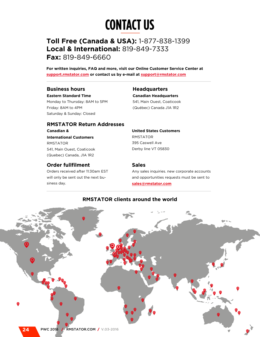# **CONTACT US**

# **Toll Free (Canada & USA):** 1-877-838-1399 **Local & International:** 819-849-7333 **Fax:** 819-849-6660

**For written inquiries, FAQ and more, visit our Online Customer Service Center at support.rmstator.com or contact us by e-mail at support@rmstator.com**

**Eastern Standard Time**

Monday to Thursday: 8AM to 5PM Friday: 8AM to 4PM Saturday & Sunday: Closed

# **Business hours hours** Headquarters **Canadian Headquarters** 541, Main Ouest, Coaticook (Québec) Canada J1A 1R2

# **RMSTATOR Return Addresses**

**Canadian & International Customers** RMSTATOR 541, Main Ouest, Coaticook (Quebec) Canada, J1A 1R2

# **Order fullfilment Sales**

Orders received after 11:30am EST will only be sent out the next business day.

# **United States Customers** RMSTATOR

395 Caswell Ave Derby line VT 05830

Any sales inquiries. new corporate accounts and opportunities requests must be sent to **sales@rmstator.com**



# **RMSTATOR clients around the world**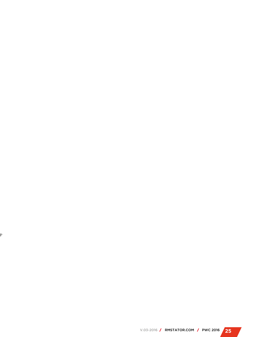V.03-2016 / RMSTATOR.COM / PWC 2016 **25**

P

У.,